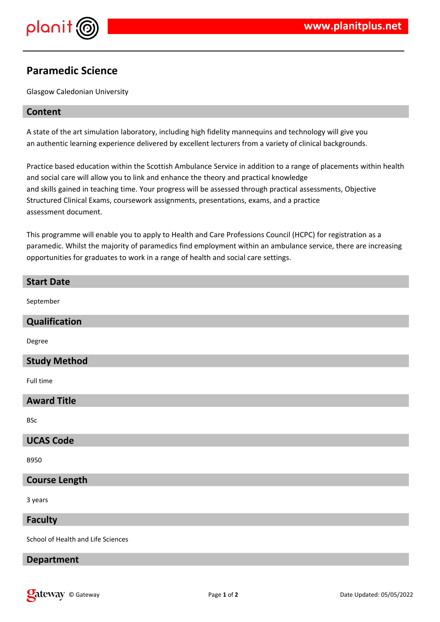

# **Paramedic Science**

Glasgow Caledonian University

## **Content**

A state of the art simulation laboratory, including high fidelity mannequins and technology will give you an authentic learning experience delivered by excellent lecturers from a variety of clinical backgrounds.

Practice based education within the Scottish Ambulance Service in addition to a range of placements within health and social care will allow you to link and enhance the theory and practical knowledge and skills gained in teaching time. Your progress will be assessed through practical assessments, Objective Structured Clinical Exams, coursework assignments, presentations, exams, and a practice assessment document.

This programme will enable you to apply to Health and Care Professions Council (HCPC) for registration as a paramedic. Whilst the majority of paramedics find employment within an ambulance service, there are increasing opportunities for graduates to work in a range of health and social care settings.

| <b>Start Date</b>                  |
|------------------------------------|
| September                          |
| Qualification                      |
| Degree                             |
| <b>Study Method</b>                |
| Full time                          |
| <b>Award Title</b>                 |
| <b>BSc</b>                         |
| <b>UCAS Code</b>                   |
| <b>B950</b>                        |
| <b>Course Length</b>               |
| 3 years                            |
| <b>Faculty</b>                     |
| School of Health and Life Sciences |

# **Department**